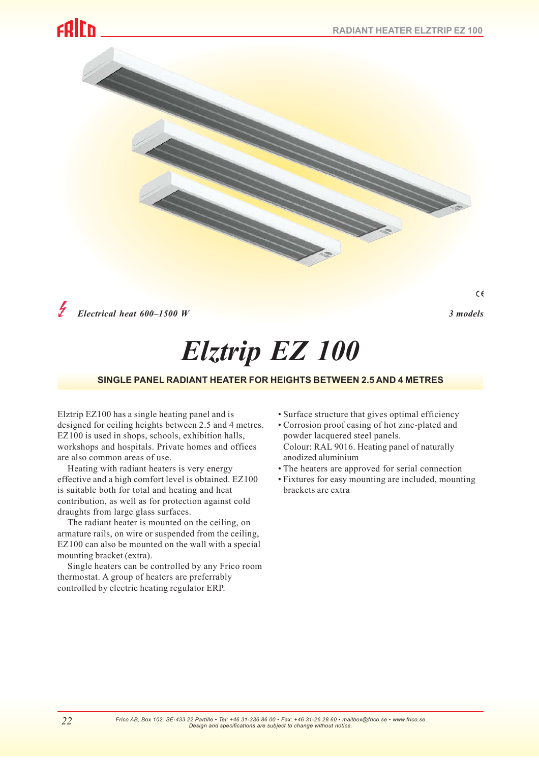# colrn



*Electrical heat 600–1500 W 3 models*

 $\epsilon$ 

# *Elztrip EZ 100*

# **SINGLE PANEL RADIANT HEATER FOR HEIGHTS BETWEEN 2.5 AND 4 METRES**

Elztrip EZ100 has a single heating panel and is designed for ceiling heights between 2.5 and 4 metres. EZ100 is used in shops, schools, exhibition halls, workshops and hospitals. Private homes and offices are also common areas of use.

Heating with radiant heaters is very energy effective and a high comfort level is obtained. EZ100 is suitable both for total and heating and heat contribution, as well as for protection against cold draughts from large glass surfaces.

The radiant heater is mounted on the ceiling, on armature rails, on wire or suspended from the ceiling, EZ100 can also be mounted on the wall with a special mounting bracket (extra).

Single heaters can be controlled by any Frico room thermostat. A group of heaters are preferrably controlled by electric heating regulator ERP.

- Surface structure that gives optimal efficiency • Corrosion proof casing of hot zinc-plated and
- powder lacquered steel panels. Colour: RAL 9016. Heating panel of naturally anodized aluminium
- The heaters are approved for serial connection
- Fixtures for easy mounting are included, mounting brackets are extra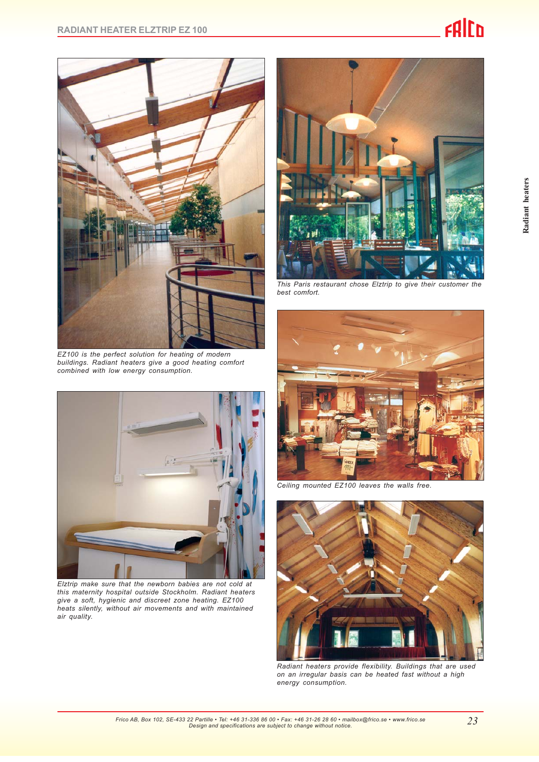

*EZ100 is the perfect solution for heating of modern buildings. Radiant heaters give a good heating comfort combined with low energy consumption.*



*Elztrip make sure that the newborn babies are not cold at this maternity hospital outside Stockholm. Radiant heaters give a soft, hygienic and discreet zone heating. EZ100 heats silently, without air movements and with maintained air quality.*



*This Paris restaurant chose Elztrip to give their customer the best comfort.*



*Ceiling mounted EZ100 leaves the walls free.*



*Radiant heaters provide flexibility. Buildings that are used on an irregular basis can be heated fast without a high energy consumption.*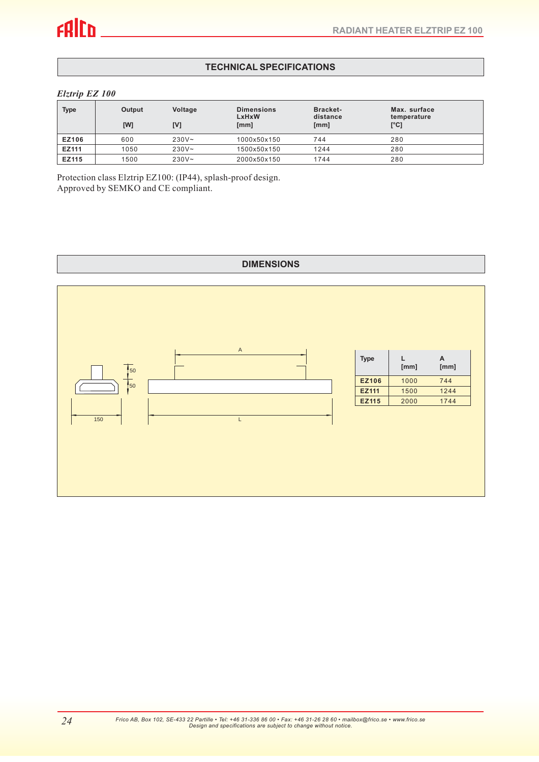# **TECHNICAL SPECIFICATIONS**

#### *Elztrip EZ 100*

| <b>Type</b>  | <b>Output</b><br>[W] | Voltage<br>[V] | <b>Dimensions</b><br>LxHxW<br>[mm] | <b>Bracket-</b><br>distance<br>[mm] | Max. surface<br>temperature<br>[°C] |
|--------------|----------------------|----------------|------------------------------------|-------------------------------------|-------------------------------------|
| <b>EZ106</b> | 600                  | $230V -$       | 1000x50x150                        | 744                                 | 280                                 |
| EZ111        | 1050                 | $230V -$       | 1500x50x150                        | 1244                                | 280                                 |
| <b>EZ115</b> | 1500                 | $230V -$       | 2000x50x150                        | 1744                                | 280                                 |

Protection class Elztrip EZ100: (IP44), splash-proof design. Approved by SEMKO and CE compliant.

### **DIMENSIONS**

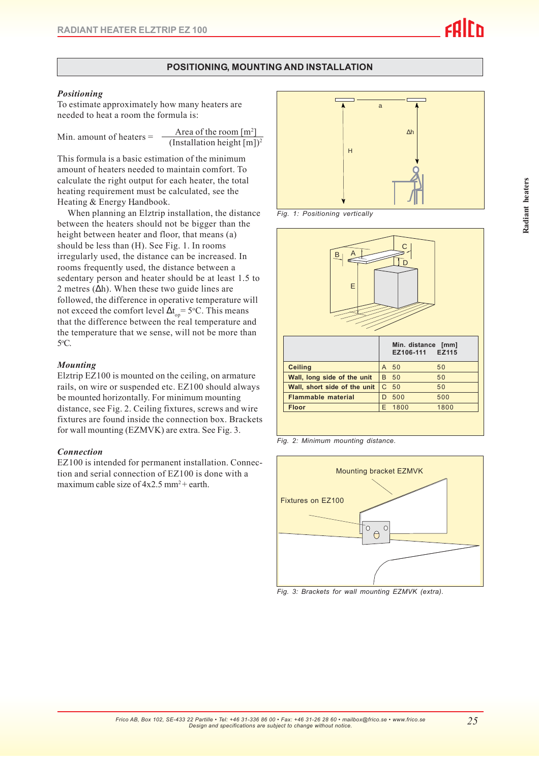# **POSITIONING, MOUNTING AND INSTALLATION**

#### *Positioning*

To estimate approximately how many heaters are needed to heat a room the formula is:

Min. amount of headers = 
$$
=
$$

Area of the room 
$$
[m^2]
$$
  
(Installation height  $[m])^2$ 

This formula is a basic estimation of the minimum amount of heaters needed to maintain comfort. To calculate the right output for each heater, the total heating requirement must be calculated, see the Heating & Energy Handbook.

When planning an Elztrip installation, the distance between the heaters should not be bigger than the height between heater and floor, that means (a) should be less than (H). See Fig. 1. In rooms irregularly used, the distance can be increased. In rooms frequently used, the distance between a sedentary person and heater should be at least 1.5 to 2 metres ( $\Delta h$ ). When these two guide lines are followed, the difference in operative temperature will not exceed the comfort level  $\Delta t_{op} = 5$ °C. This means that the difference between the real temperature and the temperature that we sense, will not be more than 5o C.

#### *Mounting*

Elztrip EZ100 is mounted on the ceiling, on armature rails, on wire or suspended etc. EZ100 should always be mounted horizontally. For minimum mounting distance, see Fig. 2. Ceiling fixtures, screws and wire fixtures are found inside the connection box. Brackets for wall mounting (EZMVK) are extra. See Fig. 3.

#### *Connection*

EZ100 is intended for permanent installation. Connection and serial connection of EZ100 is done with a maximum cable size of  $4x2.5$  mm<sup>2</sup> + earth.



*Fig. 1: Positioning vertically*



| <b>Ceiling</b>                       | $\mathsf{A}$ | 50          | 50   |
|--------------------------------------|--------------|-------------|------|
| Wall, long side of the unit          |              | <b>B</b> 50 | 50   |
| Wall, short side of the unit $ C 50$ |              |             | 50   |
| <b>Flammable material</b>            |              | 500         | 500  |
| <b>Floor</b>                         |              | 1800        | 1800 |
|                                      |              |             |      |

*Fig. 2: Minimum mounting distance.*



*Fig. 3: Brackets for wall mounting EZMVK (extra).*

*25*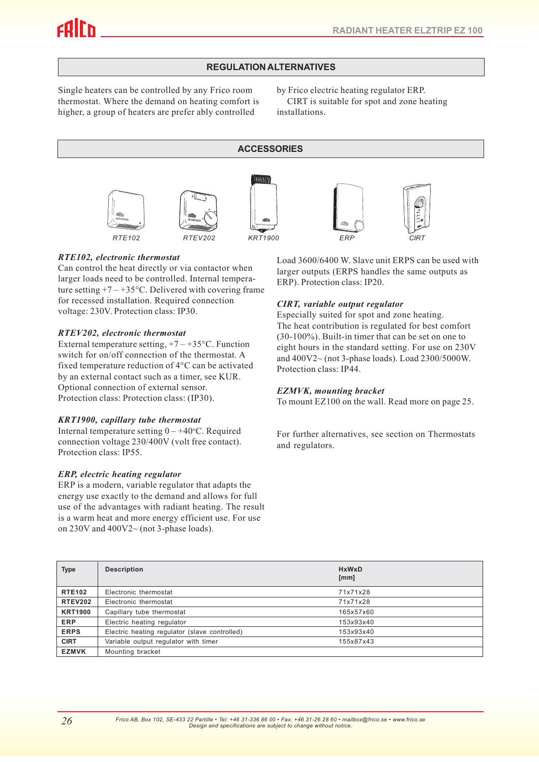# **REGULATION ALTERNATIVES**

Single heaters can be controlled by any Frico room thermostat. Where the demand on heating comfort is higher, a group of heaters are prefer ably controlled

by Frico electric heating regulator ERP.

CIRT is suitable for spot and zone heating installations.

**ACCESSORIES**







*RTE102, electronic thermostat*

Can control the heat directly or via contactor when larger loads need to be controlled. Internal temperature setting  $+7 - +35$ °C. Delivered with covering frame for recessed installation. Required connection voltage: 230V. Protection class: IP30.

#### *RTEV202, electronic thermostat*

External temperature setting,  $+7 - +35$ °C. Function switch for on/off connection of the thermostat. A fixed temperature reduction of 4°C can be activated by an external contact such as a timer, see KUR. Optional connection of external sensor. Protection class: Protection class: (IP30).

# *KRT1900, capillary tube thermostat*

Internal temperature setting  $0 - +40$ °C. Required connection voltage 230/400V (volt free contact). Protection class: IP55.

# *ERP, electric heating regulator*

ERP is a modern, variable regulator that adapts the energy use exactly to the demand and allows for full use of the advantages with radiant heating. The result is a warm heat and more energy efficient use. For use on  $230V$  and  $400V2\sim$  (not 3-phase loads).

Load 3600/6400 W. Slave unit ERPS can be used with larger outputs (ERPS handles the same outputs as ERP). Protection class: IP20.

# *CIRT, variable output regulator*

Especially suited for spot and zone heating. The heat contribution is regulated for best comfort (30-100%). Built-in timer that can be set on one to eight hours in the standard setting. For use on 230V and 400V2~ (not 3-phase loads). Load 2300/5000W. Protection class: IP44.

#### *EZMVK, mounting bracket*

To mount EZ100 on the wall. Read more on page 25.

For further alternatives, see section on Thermostats and regulators.

| <b>Type</b>    | <b>Description</b>                            | <b>HxWxD</b><br>[mm] |
|----------------|-----------------------------------------------|----------------------|
| <b>RTE102</b>  | Electronic thermostat                         | 71x71x28             |
| <b>RTEV202</b> | Electronic thermostat                         | 71x71x28             |
| <b>KRT1900</b> | Capillary tube thermostat                     | 165x57x60            |
| <b>ERP</b>     | Electric heating regulator                    | 153x93x40            |
| <b>ERPS</b>    | Electric heating regulator (slave controlled) | 153x93x40            |
| <b>CIRT</b>    | Variable output regulator with timer          | 155x87x43            |
| <b>EZMVK</b>   | Mounting bracket                              |                      |